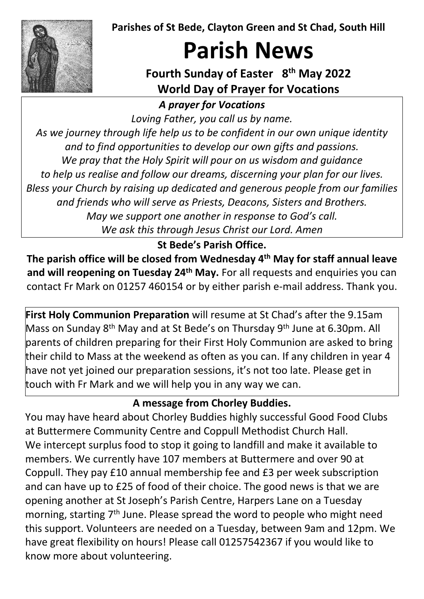**Parishes of St Bede, Clayton Green and St Chad, South Hill**



# **Parish News**

# **Fourth Sunday of Easter 8th May 2022 World Day of Prayer for Vocations**

*A prayer for Vocations*

*Loving Father, you call us by name.*

*As we journey through life help us to be confident in our own unique identity and to find opportunities to develop our own gifts and passions. We pray that the Holy Spirit will pour on us wisdom and guidance to help us realise and follow our dreams, discerning your plan for our lives. Bless your Church by raising up dedicated and generous people from our families and friends who will serve as Priests, Deacons, Sisters and Brothers. May we support one another in response to God's call. We ask this through Jesus Christ our Lord. Amen*

### **St Bede's Parish Office.**

**The parish office will be closed from Wednesday 4th May for staff annual leave and will reopening on Tuesday 24th May.** For all requests and enquiries you can contact Fr Mark on 01257 460154 or by either parish e-mail address. Thank you.

**First Holy Communion Preparation** will resume at St Chad's after the 9.15am Mass on Sunday 8<sup>th</sup> May and at St Bede's on Thursday 9<sup>th</sup> June at 6.30pm. All parents of children preparing for their First Holy Communion are asked to bring their child to Mass at the weekend as often as you can. If any children in year 4 have not yet joined our preparation sessions, it's not too late. Please get in touch with Fr Mark and we will help you in any way we can.

### **A message from Chorley Buddies.**

You may have heard about Chorley Buddies highly successful Good Food Clubs at Buttermere Community Centre and Coppull Methodist Church Hall. We intercept surplus food to stop it going to landfill and make it available to members. We currently have 107 members at Buttermere and over 90 at Coppull. They pay £10 annual membership fee and £3 per week subscription and can have up to £25 of food of their choice. The good news is that we are opening another at St Joseph's Parish Centre, Harpers Lane on a Tuesday morning, starting 7<sup>th</sup> June. Please spread the word to people who might need this support. Volunteers are needed on a Tuesday, between 9am and 12pm. We have great flexibility on hours! Please call 01257542367 if you would like to know more about volunteering.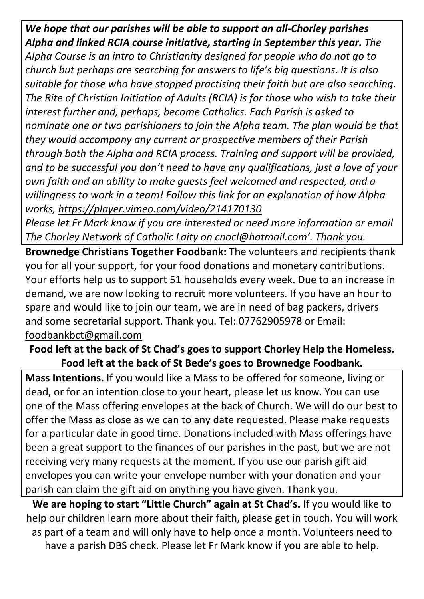*We hope that our parishes will be able to support an all-Chorley parishes Alpha and linked RCIA course initiative, starting in September this year. The Alpha Course is an intro to Christianity designed for people who do not go to church but perhaps are searching for answers to life's big questions. It is also suitable for those who have stopped practising their faith but are also searching. The Rite of Christian Initiation of Adults (RCIA) is for those who wish to take their interest further and, perhaps, become Catholics. Each Parish is asked to nominate one or two parishioners to join the Alpha team. The plan would be that they would accompany any current or prospective members of their Parish through both the Alpha and RCIA process. Training and support will be provided, and to be successful you don't need to have any qualifications, just a love of your own faith and an ability to make guests feel welcomed and respected, and a willingness to work in a team! Follow this link for an explanation of how Alpha works,<https://player.vimeo.com/video/214170130>*

*Please let Fr Mark know if you are interested or need more information or email The Chorley Network of Catholic Laity on [cnocl@hotmail.com'](mailto:cnocl@hotmail.com). Thank you.* 

**Brownedge Christians Together Foodbank:** The volunteers and recipients thank you for all your support, for your food donations and monetary contributions. Your efforts help us to support 51 households every week. Due to an increase in demand, we are now looking to recruit more volunteers. If you have an hour to spare and would like to join our team, we are in need of bag packers, drivers and some secretarial support. Thank you. Tel: 07762905978 or Email: [foodbankbct@gmail.com](mailto:foodbankbct@gmail.com) 

#### **Food left at the back of St Chad's goes to support Chorley Help the Homeless. Food left at the back of St Bede's goes to Brownedge Foodbank.**

**Mass Intentions.** If you would like a Mass to be offered for someone, living or dead, or for an intention close to your heart, please let us know. You can use one of the Mass offering envelopes at the back of Church. We will do our best to offer the Mass as close as we can to any date requested. Please make requests for a particular date in good time. Donations included with Mass offerings have been a great support to the finances of our parishes in the past, but we are not receiving very many requests at the moment. If you use our parish gift aid envelopes you can write your envelope number with your donation and your parish can claim the gift aid on anything you have given. Thank you.

**We are hoping to start "Little Church" again at St Chad's.** If you would like to help our children learn more about their faith, please get in touch. You will work as part of a team and will only have to help once a month. Volunteers need to have a parish DBS check. Please let Fr Mark know if you are able to help.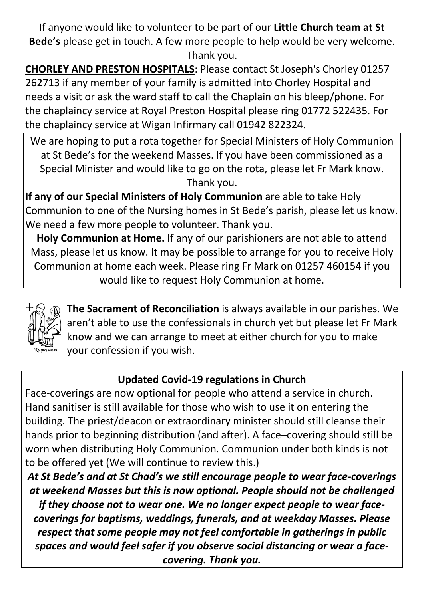If anyone would like to volunteer to be part of our **Little Church team at St Bede's** please get in touch. A few more people to help would be very welcome. Thank you.

**CHORLEY AND PRESTON HOSPITALS**: Please contact St Joseph's Chorley 01257 262713 if any member of your family is admitted into Chorley Hospital and needs a visit or ask the ward staff to call the Chaplain on his bleep/phone. For the chaplaincy service at Royal Preston Hospital please ring 01772 522435. For the chaplaincy service at Wigan Infirmary call 01942 822324.

We are hoping to put a rota together for Special Ministers of Holy Communion at St Bede's for the weekend Masses. If you have been commissioned as a Special Minister and would like to go on the rota, please let Fr Mark know. Thank you.

**If any of our Special Ministers of Holy Communion** are able to take Holy Communion to one of the Nursing homes in St Bede's parish, please let us know. We need a few more people to volunteer. Thank you.

**Holy Communion at Home.** If any of our parishioners are not able to attend Mass, please let us know. It may be possible to arrange for you to receive Holy Communion at home each week. Please ring Fr Mark on 01257 460154 if you would like to request Holy Communion at home.



**The Sacrament of Reconciliation** is always available in our parishes. We aren't able to use the confessionals in church yet but please let Fr Mark know and we can arrange to meet at either church for you to make your confession if you wish.

# **Updated Covid-19 regulations in Church**

Face-coverings are now optional for people who attend a service in church. Hand sanitiser is still available for those who wish to use it on entering the building. The priest/deacon or extraordinary minister should still cleanse their hands prior to beginning distribution (and after). A face–covering should still be worn when distributing Holy Communion. Communion under both kinds is not to be offered yet (We will continue to review this.)

*At St Bede's and at St Chad's we still encourage people to wear face-coverings at weekend Masses but this is now optional. People should not be challenged if they choose not to wear one. We no longer expect people to wear facecoverings for baptisms, weddings, funerals, and at weekday Masses. Please respect that some people may not feel comfortable in gatherings in public spaces and would feel safer if you observe social distancing or wear a facecovering. Thank you.*